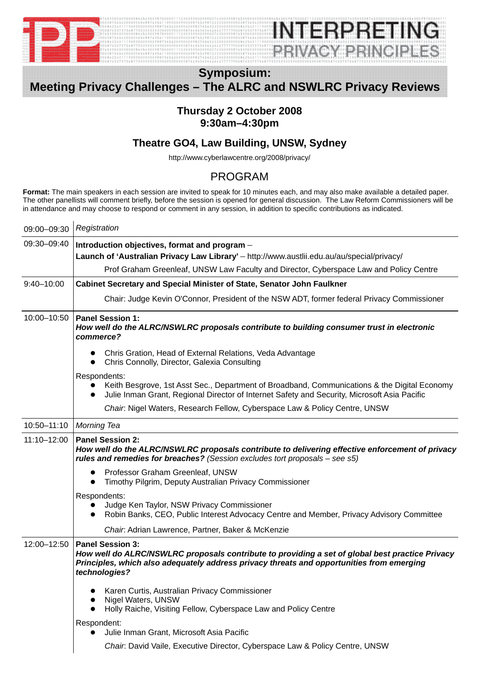

# INIERDREIN **REIVACY BRINCIPLES**

## **Symposium: Meeting Privacy Challenges – The ALRC and NSWLRC Privacy Reviews**

#### **Thursday 2 October 2008 9:30am–4:30pm**

#### **Theatre GO4, Law Building, UNSW, Sydney**

http://www.cyberlawcentre.org/2008/privacy/

### PROGRAM

**Format:** The main speakers in each session are invited to speak for 10 minutes each, and may also make available a detailed paper. The other panellists will comment briefly, before the session is opened for general discussion. The Law Reform Commissioners will be in attendance and may choose to respond or comment in any session, in addition to specific contributions as indicated.

| 09:00-09:30    | Registration                                                                                                                                                                                                                             |
|----------------|------------------------------------------------------------------------------------------------------------------------------------------------------------------------------------------------------------------------------------------|
| 09:30-09:40    | Introduction objectives, format and program -<br>Launch of 'Australian Privacy Law Library' - http://www.austlii.edu.au/au/special/privacy/                                                                                              |
|                | Prof Graham Greenleaf, UNSW Law Faculty and Director, Cyberspace Law and Policy Centre                                                                                                                                                   |
| $9:40 - 10:00$ | Cabinet Secretary and Special Minister of State, Senator John Faulkner                                                                                                                                                                   |
|                | Chair: Judge Kevin O'Connor, President of the NSW ADT, former federal Privacy Commissioner                                                                                                                                               |
| 10:00-10:50    | <b>Panel Session 1:</b><br>How well do the ALRC/NSWLRC proposals contribute to building consumer trust in electronic<br>commerce?                                                                                                        |
|                | Chris Gration, Head of External Relations, Veda Advantage<br>$\bullet$<br>Chris Connolly, Director, Galexia Consulting<br>$\bullet$                                                                                                      |
|                | Respondents:<br>Keith Besgrove, 1st Asst Sec., Department of Broadband, Communications & the Digital Economy<br>$\bullet$<br>Julie Inman Grant, Regional Director of Internet Safety and Security, Microsoft Asia Pacific                |
|                | Chair. Nigel Waters, Research Fellow, Cyberspace Law & Policy Centre, UNSW                                                                                                                                                               |
| 10:50-11:10    | <b>Morning Tea</b>                                                                                                                                                                                                                       |
| 11:10-12:00    | <b>Panel Session 2:</b><br>How well do the ALRC/NSWLRC proposals contribute to delivering effective enforcement of privacy<br>rules and remedies for breaches? (Session excludes tort proposals - see s5)                                |
|                | Professor Graham Greenleaf, UNSW<br>$\bullet$<br>Timothy Pilgrim, Deputy Australian Privacy Commissioner                                                                                                                                 |
|                | Respondents:<br>Judge Ken Taylor, NSW Privacy Commissioner<br>Robin Banks, CEO, Public Interest Advocacy Centre and Member, Privacy Advisory Committee                                                                                   |
|                | Chair. Adrian Lawrence, Partner, Baker & McKenzie                                                                                                                                                                                        |
| 12:00-12:50    | <b>Panel Session 3:</b><br>How well do ALRC/NSWLRC proposals contribute to providing a set of global best practice Privacy<br>Principles, which also adequately address privacy threats and opportunities from emerging<br>technologies? |
|                | Karen Curtis, Australian Privacy Commissioner<br>Nigel Waters, UNSW<br>Holly Raiche, Visiting Fellow, Cyberspace Law and Policy Centre                                                                                                   |
|                | Respondent:<br>Julie Inman Grant, Microsoft Asia Pacific                                                                                                                                                                                 |
|                | Chair: David Vaile, Executive Director, Cyberspace Law & Policy Centre, UNSW                                                                                                                                                             |
|                |                                                                                                                                                                                                                                          |